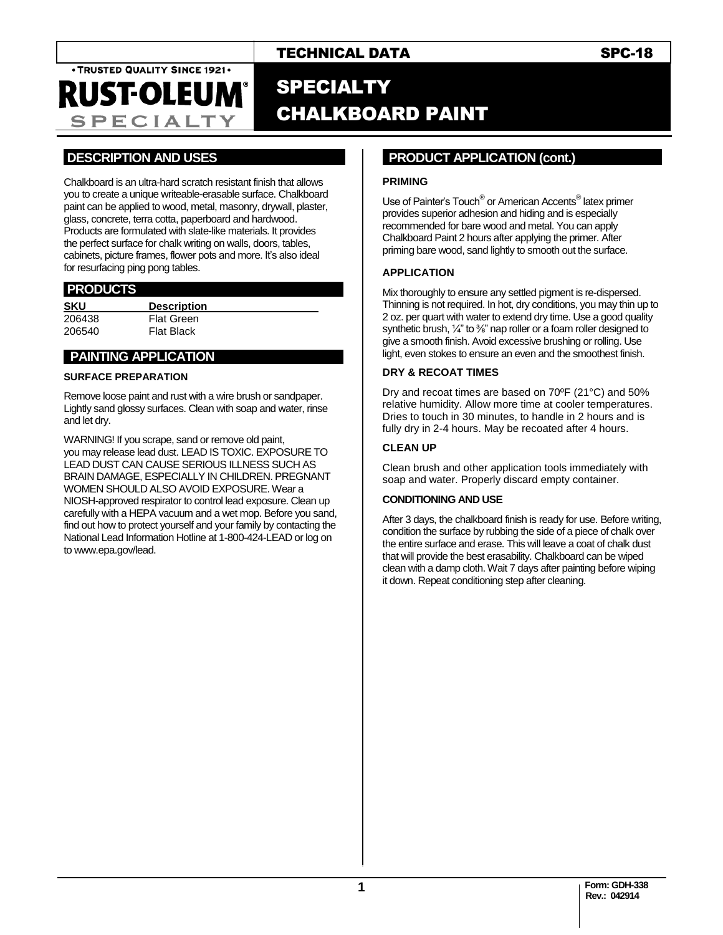**SPECIALTY** 

TECHNICAL DATA SPC-18

# SPECIALTY CHALKBOARD PAINT

## **.DESCRIPTION AND USES .**

Chalkboard is an ultra-hard scratch resistant finish that allows you to create a unique writeable-erasable surface. Chalkboard paint can be applied to wood, metal, masonry, drywall, plaster, glass, concrete, terra cotta, paperboard and hardwood. Products are formulated with slate-like materials. It provides the perfect surface for chalk writing on walls, doors, tables, cabinets, picture frames, flower pots and more. It's also ideal for resurfacing ping pong tables.

### **.PRODUCTS .**

| <b>SKU</b> | <b>Description</b> |  |  |
|------------|--------------------|--|--|
| 206438     | <b>Flat Green</b>  |  |  |
| 206540     | <b>Flat Black</b>  |  |  |
|            |                    |  |  |

## **PAINTING APPLICATION**

#### **SURFACE PREPARATION**

Remove loose paint and rust with a wire brush or sandpaper. Lightly sand glossy surfaces. Clean with soap and water, rinse and let dry.

WARNING! If you scrape, sand or remove old paint, you may release lead dust. LEAD IS TOXIC. EXPOSURE TO LEAD DUST CAN CAUSE SERIOUS ILLNESS SUCH AS BRAIN DAMAGE, ESPECIALLY IN CHILDREN. PREGNANT WOMEN SHOULD ALSO AVOID EXPOSURE. Wear a NIOSH-approved respirator to control lead exposure. Clean up carefully with a HEPA vacuum and a wet mop. Before you sand, find out how to protect yourself and your family by contacting the National Lead Information Hotline at 1-800-424-LEAD or log on to www.epa.gov/lead.

### **..PRODUCT APPLICATION (cont.) .**

#### **PRIMING**

Use of Painter's Touch® or American Accents® latex primer provides superior adhesion and hiding and is especially recommended for bare wood and metal. You can apply Chalkboard Paint 2 hours after applying the primer. After priming bare wood, sand lightly to smooth out the surface.

#### **APPLICATION**

Mix thoroughly to ensure any settled pigment is re-dispersed. Thinning is not required. In hot, dry conditions, you may thin up to 2 oz. per quart with water to extend dry time. Use a good quality synthetic brush, 1/4" to 3/8" nap roller or a foam roller designed to give a smooth finish. Avoid excessive brushing or rolling. Use light, even stokes to ensure an even and the smoothest finish.

#### **DRY & RECOAT TIMES**

Dry and recoat times are based on 70ºF (21°C) and 50% relative humidity. Allow more time at cooler temperatures. Dries to touch in 30 minutes, to handle in 2 hours and is fully dry in 2-4 hours. May be recoated after 4 hours.

#### **CLEAN UP**

Clean brush and other application tools immediately with soap and water. Properly discard empty container.

#### **CONDITIONING AND USE**

After 3 days, the chalkboard finish is ready for use. Before writing, condition the surface by rubbing the side of a piece of chalk over the entire surface and erase. This will leave a coat of chalk dust that will provide the best erasability. Chalkboard can be wiped clean with a damp cloth. Wait 7 days after painting before wiping it down. Repeat conditioning step after cleaning.